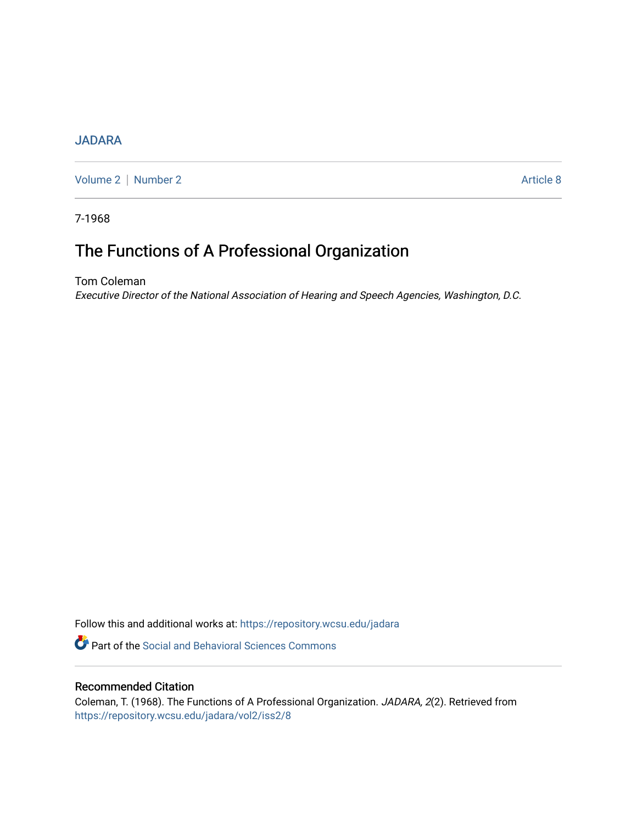### **[JADARA](https://repository.wcsu.edu/jadara)**

[Volume 2](https://repository.wcsu.edu/jadara/vol2) | [Number 2](https://repository.wcsu.edu/jadara/vol2/iss2) Article 8

7-1968

# The Functions of A Professional Organization

Tom Coleman Executive Director of the National Association of Hearing and Speech Agencies, Washington, D.C.

Follow this and additional works at: [https://repository.wcsu.edu/jadara](https://repository.wcsu.edu/jadara?utm_source=repository.wcsu.edu%2Fjadara%2Fvol2%2Fiss2%2F8&utm_medium=PDF&utm_campaign=PDFCoverPages)

**P** Part of the Social and Behavioral Sciences Commons

### Recommended Citation

Coleman, T. (1968). The Functions of A Professional Organization. JADARA, 2(2). Retrieved from [https://repository.wcsu.edu/jadara/vol2/iss2/8](https://repository.wcsu.edu/jadara/vol2/iss2/8?utm_source=repository.wcsu.edu%2Fjadara%2Fvol2%2Fiss2%2F8&utm_medium=PDF&utm_campaign=PDFCoverPages)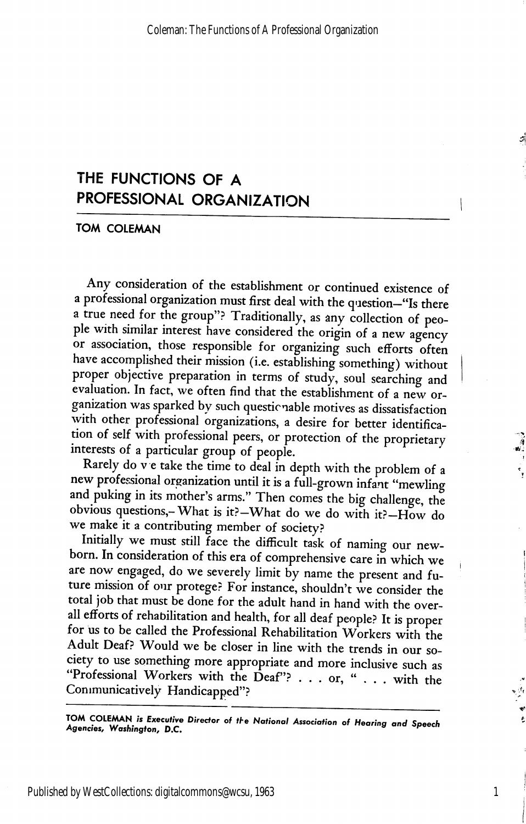## THE FUNCTIONS OF A PROFESSIONAL ORGANIZATION

TOM COLEMAN

Any consideration of the establishment or continued existence of a professional organization must first deal with the question—"Is there a true need for the group"? Traditionally, as any collection of peo ple with similar interest have considered the origin of a new agency or association, those responsible for organizing such efforts often have accomplished their mission (i.e. establishing something) without proper objective preparation in terms of study, soul searching and evaluation. In fact, we often find that the establishment of a new or ganization was sparked by such questionable motives as dissatisfaction with other professional organizations, a desire for better identification of self with professional peers, or protection of the proprietary interests of a particular group of people.

Rarely do v e take the time to deal in depth with the problem of a new professional organization until it is a full-grown infant "mewling and puking in its mother's arms." Then comes the big challenge, the obvious questions,-What is it?—What do we do with it?—How do we make it a contributing member of society?

Initially we must still face the difficult task of naming our new born. In consideration of this era of comprehensive care in which we are now engaged, do we severely limit by name the present and future mission of our protege? For instance, shouldn't we consider the total job that must be done for the adult hand in hand with the over all efforts of rehabilitation and health, for all deaf people? It is proper for us to be called the Professional Rehabilitation Workers with the Adult Deaf? Would we be closer in line with the trends in our so ciety to use something more appropriate and more inclusive such as "Professional Workers with the Deaf"? . . . or, " . . . with the Communicatively Handicapped"?

TOM COLEMAN is Executive Director of the National Association of Hearing and Speech Agencies, Washington, D.C.

1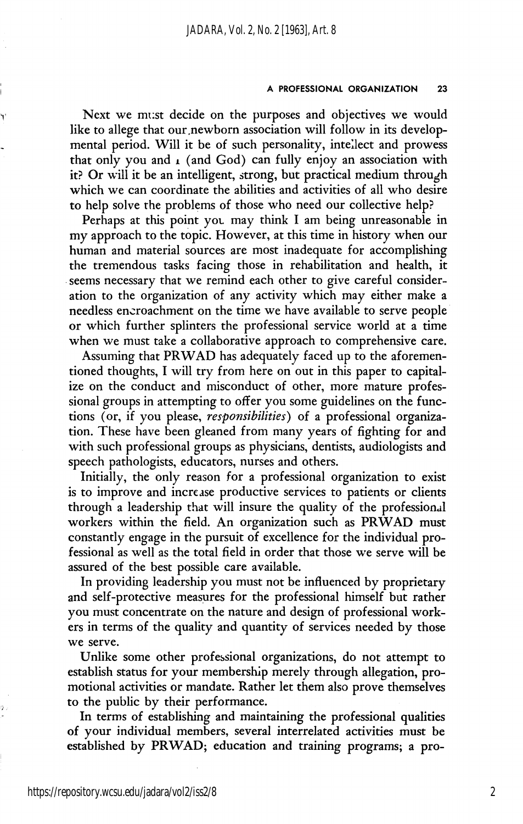#### A PROFESSIONAL ORGANIZATION 23

Next we must decide on the purposes and objectives we would like to allege that our newborn association will follow in its developmental period. Will it be of such personality, intellect and prowess that only you and  $\iota$  (and God) can fully enjoy an association with it? Or will it be an intelligent, strong, but practical medium through which we can coordinate the abilities and activities of all who desire to help solve the problems of those who need our collective help?

Perhaps at this point you may think I am being unreasonable in my approach to the topic. However, at this time in history when our human and material sources are most inadequate for accomplishing the tremendous tasks facing those in rehabilitation and health, it seems necessary that we remind each other to give careful consider ation to the organization of any activity which may either make a needless encroachment on the time we have available to serve people or which further splinters the professional service world at a time when we must take a collaborative approach to comprehensive care.

Assuming that PRWAD has adequately faced up to the aforemen tioned thoughts, I will try from here on out in this paper to capital ize on the conduct and misconduct of other, more mature profes sional groups in attempting to offer you some guidelines on the func tions (or, if you please, responsibilities) of a professional organization. These have been gleaned from many years of fighting for and with such professional groups as physicians, dentists, audiologists and speech pathologists, educators, nurses and others.

Initially, the only reason for a professional organization to exist is to improve and increase productive services to patients or clients through a leadership that will insure the quality of the professional workers within the field. An organization such as PRWAD must constantly engage in the pursuit of excellence for the individual pro fessional as well as the total field in order that those we serve will be assured of the best possible care available.

In providing leadership you must not be influenced by proprietary and self-protective measures for the professional himself but rather you must concentrate on the nature and design of professional work ers in terms of the quality and quantity of services needed by those we serve.

Unlike some other professional organizations, do not attempt to establish status for your membership merely through allegation, pro motional activities or mandate. Rather let them also prove themselves to the public by their performance.

In terms of establishing and maintaining the professional qualities of your individual members, several interrelated activities must be established by PRWAD; education and training programs; a pro-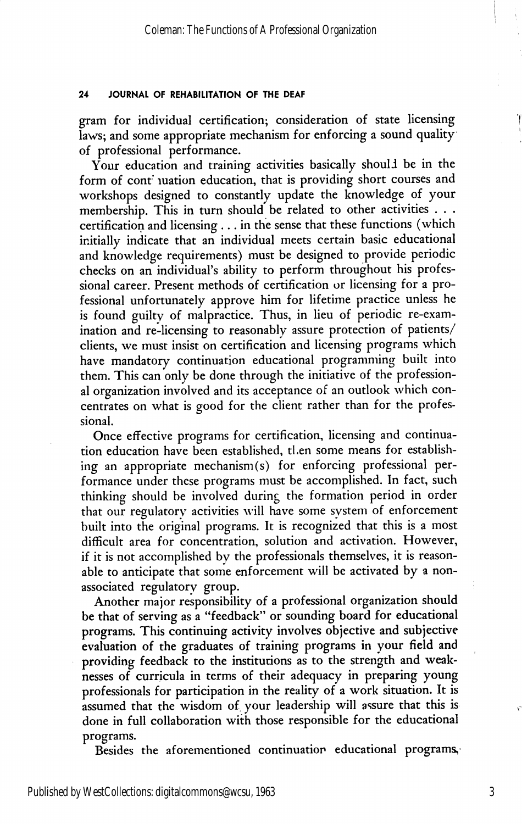#### 24 JOURNAL OF REHABILITATION OF THE DEAF

gram for individual certification; consideration of state licensing laws; and some appropriate mechanism for enforcing a sound quality of professional performance.

Your education and training activities basically should be in the form of cont juation education, that is providing short courses and workshops designed to constantly update the knowledge of your membership. This in turn should be related to other activities . . . certification and licensing ... in the sense that these functions (which initially indicate that an individual meets certain basic educational and knowledge requirements) must be designed to provide periodic checks on an individual's ability to perform throughout his profes sional career. Present methods of certification or licensing for a pro fessional unfortunately approve him for lifetime practice unless he is found guilty of malpractice. Thus, in lieu of periodic re-exam ination and re-licensing to reasonably assure protection of patients/ clients, we must insist on certification and licensing programs which have mandatory continuation educational programming built into them. This can only be done through the initiative of the profession al organization involved and its acceptance of an outlook which con centrates on what is good for the client rather than for the profes sional.

Once effective programs for certification, licensing and continua tion education have been established, then some means for establish ing an appropriate mechanism (s) for enforcing professional per formance under these programs must be accomplished. In fact, such thinking should be involved during the formation period in order that our regulatory activities will have some system of enforcement built into the original programs. It is recognized that this is a most difficult area for concentration, solution and activation. However, if it is not accomplished by the professionals themselves, it is reason able to anticipate that some enforcement will be activated by a nonassociated regulatory group.

Another major responsibility of a professional organization should be that of serving as a "feedback" or sounding board for educational programs. This continuing activity involves objective and subjective evaluation of the graduates of training programs in your field and providing feedback to the institutions as to the strength and weak nesses of curricula in terms of their adequacy in preparing young professionals for participation in the reality of a work situation. It is assumed that the wisdom of your leadership will assure that this is done in full collaboration with those responsible for the educational programs.

Besides the aforementioned continuation educational programs,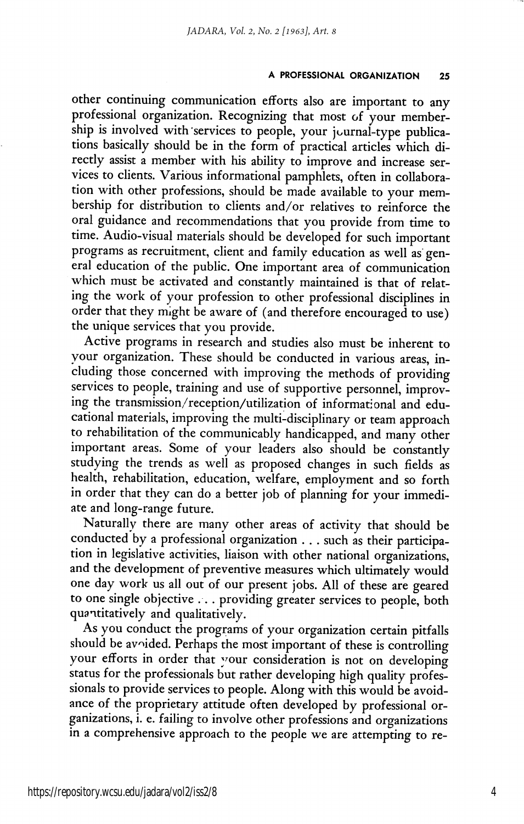#### A PROFESSIONAL ORGANIZATION 25

other continuing communication efforts also are important to any professional organization. Recognizing that most of your member ship is involved with services to people, your journal-type publications basically should be in the form of practical articles which di rectly assist a member with his ability to improve and increase ser vices to clients. Various informational pamphlets, often in collabora tion with other professions, should be made available to your mem bership for distribution to clients and/or relatives to reinforce the oral guidance and recommendations that you provide from time to time. Audio-visual materials should be developed for such important programs as recruitment, client and family education as well as gen eral education of the public. One important area of communication which must be activated and constantly maintained is that of relat ing the work of your profession to other professional disciplines in order that they might be aware of (and therefore encouraged to use) the unique services that you provide.

Active programs in research and studies also must be inherent to your organization. These should be conducted in various areas, in cluding those concerned with improving the methods of providing services to people, training and use of supportive personnel, improv ing the transmission/reception/utilization of informational and edu cational materials, improving the multi-disciplinary or team approach to rehabilitation of the communicably handicapped, and many other important areas. Some of your leaders also should be constantly studying the trends as well as proposed changes in such fields as health, rehabilitation, education, welfare, employment and so forth in order that they can do a better job of planning for your immedi ate and long-range future.

Naturally there are many other areas of activity that should be conducted by a professional organization . . . such as their participa tion in legislative activities, liaison with other national organizations, and the development of preventive measures which ultimately would one day work us all out of our present jobs. All of these are geared to one single objective ... providing greater services to people, both quantitatively and qualitatively.

As you conduct the programs of your organization certain pitfalls should be avoided. Perhaps the most important of these is controlling your efforts in order that your consideration is not on developing status for the professionals but rather developing high quality profes sionals to provide services to people. Along with this would be avoid ance of the proprietary attitude often developed by professional or ganizations, i. e. failing to involve other professions and organizations in a comprehensive approach to the people we are attempting to re-